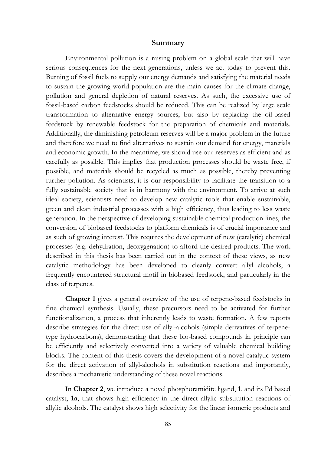## **Summary**

Environmental pollution is a raising problem on a global scale that will have serious consequences for the next generations, unless we act today to prevent this. Burning of fossil fuels to supply our energy demands and satisfying the material needs to sustain the growing world population are the main causes for the climate change, pollution and general depletion of natural reserves. As such, the excessive use of fossil-based carbon feedstocks should be reduced. This can be realized by large scale transformation to alternative energy sources, but also by replacing the oil-based feedstock by renewable feedstock for the preparation of chemicals and materials. Additionally, the diminishing petroleum reserves will be a major problem in the future and therefore we need to find alternatives to sustain our demand for energy, materials and economic growth. In the meantime, we should use our reserves as efficient and as carefully as possible. This implies that production processes should be waste free, if possible, and materials should be recycled as much as possible, thereby preventing further pollution. As scientists, it is our responsibility to facilitate the transition to a fully sustainable society that is in harmony with the environment. To arrive at such ideal society, scientists need to develop new catalytic tools that enable sustainable, green and clean industrial processes with a high efficiency, thus leading to less waste generation. In the perspective of developing sustainable chemical production lines, the conversion of biobased feedstocks to platform chemicals is of crucial importance and as such of growing interest. This requires the development of new (catalytic) chemical processes (e.g. dehydration, deoxygenation) to afford the desired products. The work described in this thesis has been carried out in the context of these views, as new catalytic methodology has been developed to cleanly convert allyl alcohols, a frequently encountered structural motif in biobased feedstock, and particularly in the class of terpenes.

**Chapter 1** gives a general overview of the use of terpene-based feedstocks in fine chemical synthesis. Usually, these precursors need to be activated for further functionalization, a process that inherently leads to waste formation. A few reports describe strategies for the direct use of allyl-alcohols (simple derivatives of terpenetype hydrocarbons), demonstrating that these bio-based compounds in principle can be efficiently and selectively converted into a variety of valuable chemical building blocks. The content of this thesis covers the development of a novel catalytic system for the direct activation of allyl-alcohols in substitution reactions and importantly, describes a mechanistic understanding of these novel reactions.

In **Chapter 2**, we introduce a novel phosphoramidite ligand, **1**, and its Pd based catalyst, **1a**, that shows high efficiency in the direct allylic substitution reactions of allylic alcohols. The catalyst shows high selectivity for the linear isomeric products and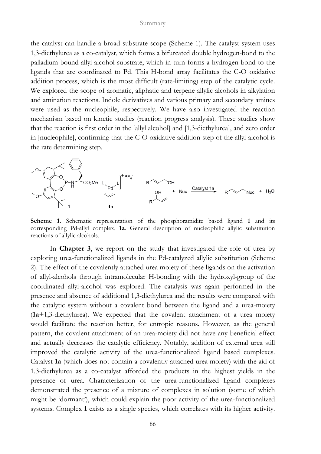the catalyst can handle a broad substrate scope (Scheme 1). The catalyst system uses 1,3-diethylurea as a co-catalyst, which forms a bifurcated double hydrogen-bond to the palladium-bound allyl-alcohol substrate, which in turn forms a hydrogen bond to the ligands that are coordinated to Pd. This H-bond array facilitates the C-O oxidative addition process, which is the most difficult (rate-limiting) step of the catalytic cycle. We explored the scope of aromatic, aliphatic and terpene allylic alcohols in alkylation and amination reactions. Indole derivatives and various primary and secondary amines were used as the nucleophile, respectively. We have also investigated the reaction mechanism based on kinetic studies (reaction progress analysis). These studies show that the reaction is first order in the [allyl alcohol] and [1,3-diethylurea], and zero order in [nucleophile], confirming that the C-O oxidative addition step of the allyl-alcohol is the rate determining step.



**Scheme 1.** Schematic representation of the phosphoramidite based ligand **1** and its corresponding Pd-allyl complex, **1a**. General description of nucleophilic allylic substitution reactions of allylic alcohols.

In **Chapter 3**, we report on the study that investigated the role of urea by exploring urea-functionalized ligands in the Pd-catalyzed allylic substitution (Scheme 2). The effect of the covalently attached urea moiety of these ligands on the activation of allyl-alcohols through intramolecular H-bonding with the hydroxyl-group of the coordinated allyl-alcohol was explored. The catalysis was again performed in the presence and absence of additional 1,3-diethylurea and the results were compared with the catalytic system without a covalent bond between the ligand and a urea-moiety (**1a**+1,3-diethylurea). We expected that the covalent attachment of a urea moiety would facilitate the reaction better, for entropic reasons. However, as the general pattern, the covalent attachment of an urea-moiety did not have any beneficial effect and actually decreases the catalytic efficiency. Notably, addition of external urea still improved the catalytic activity of the urea-functionalized ligand based complexes. Catalyst **1a** (which does not contain a covalently attached urea moiety) with the aid of 1.3-diethylurea as a co-catalyst afforded the products in the highest yields in the presence of urea. Characterization of the urea-functionalized ligand complexes demonstrated the presence of a mixture of complexes in solution (some of which might be 'dormant'), which could explain the poor activity of the urea-functionalized systems. Complex **1** exists as a single species, which correlates with its higher activity.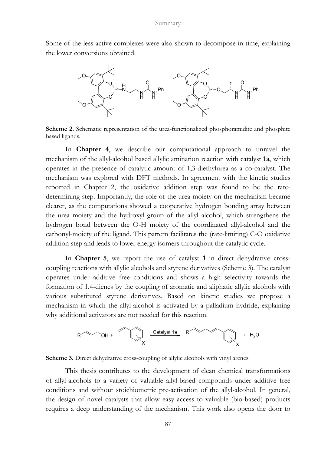Some of the less active complexes were also shown to decompose in time, explaining the lower conversions obtained.



**Scheme 2.** Schematic representation of the urea-functionalized phosphoramidite and phosphite based ligands.

In **Chapter 4**, we describe our computational approach to unravel the mechanism of the allyl-alcohol based allylic amination reaction with catalyst **1a**, which operates in the presence of catalytic amount of 1,3-diethylurea as a co-catalyst. The mechanism was explored with DFT methods. In agreement with the kinetic studies reported in Chapter 2, the oxidative addition step was found to be the ratedetermining step. Importantly, the role of the urea-moiety on the mechanism became clearer, as the computations showed a cooperative hydrogen bonding array between the urea moiety and the hydroxyl group of the allyl alcohol, which strengthens the hydrogen bond between the O-H moiety of the coordinated allyl-alcohol and the carbonyl-moiety of the ligand. This pattern facilitates the (rate-limiting) C-O oxidative addition step and leads to lower energy isomers throughout the catalytic cycle.

In **Chapter 5**, we report the use of catalyst **1** in direct dehydrative crosscoupling reactions with allylic alcohols and styrene derivatives (Scheme 3). The catalyst operates under additive free conditions and shows a high selectivity towards the formation of 1,4-dienes by the coupling of aromatic and aliphatic allylic alcohols with various substituted styrene derivatives. Based on kinetic studies we propose a mechanism in which the allyl-alcohol is activated by a palladium hydride, explaining why additional activators are not needed for this reaction.



**Scheme 3.** Direct dehydrative cross-coupling of allylic alcohols with vinyl arenes.

This thesis contributes to the development of clean chemical transformations of allyl-alcohols to a variety of valuable allyl-based compounds under additive free conditions and without stoichiometric pre-activation of the allyl-alcohol. In general, the design of novel catalysts that allow easy access to valuable (bio-based) products requires a deep understanding of the mechanism. This work also opens the door to